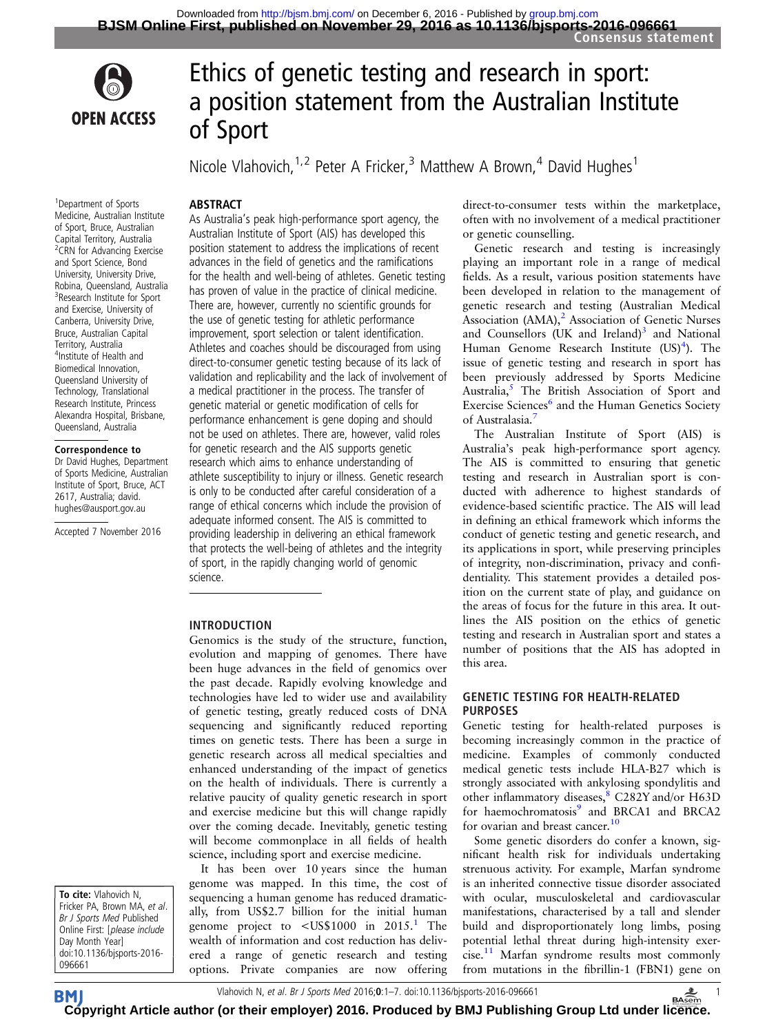

# Ethics of genetic testing and research in sport: a position statement from the Australian Institute of Sport

Nicole Vlahovich,<sup>1,2</sup> Peter A Fricker,<sup>3</sup> Matthew A Brown,<sup>4</sup> David Hughes<sup>1</sup>

# **ABSTRACT**

1 Department of Sports Medicine, Australian Institute of Sport, Bruce, Australian Capital Territory, Australia <sup>2</sup>CRN for Advancing Exercise and Sport Science, Bond University, University Drive, Robina, Queensland, Australia <sup>3</sup> Research Institute for Sport and Exercise, University of Canberra, University Drive, Bruce, Australian Capital Territory, Australia 4 Institute of Health and Biomedical Innovation, Queensland University of Technology, Translational Research Institute, Princess Alexandra Hospital, Brisbane, Queensland, Australia

#### Correspondence to

Dr David Hughes, Department of Sports Medicine, Australian Institute of Sport, Bruce, ACT 2617, Australia; david. hughes@ausport.gov.au

Accepted 7 November 2016

As Australia's peak high-performance sport agency, the Australian Institute of Sport (AIS) has developed this position statement to address the implications of recent advances in the field of genetics and the ramifications for the health and well-being of athletes. Genetic testing has proven of value in the practice of clinical medicine. There are, however, currently no scientific grounds for the use of genetic testing for athletic performance improvement, sport selection or talent identification. Athletes and coaches should be discouraged from using direct-to-consumer genetic testing because of its lack of validation and replicability and the lack of involvement of a medical practitioner in the process. The transfer of genetic material or genetic modification of cells for performance enhancement is gene doping and should not be used on athletes. There are, however, valid roles for genetic research and the AIS supports genetic research which aims to enhance understanding of athlete susceptibility to injury or illness. Genetic research is only to be conducted after careful consideration of a range of ethical concerns which include the provision of adequate informed consent. The AIS is committed to providing leadership in delivering an ethical framework that protects the well-being of athletes and the integrity of sport, in the rapidly changing world of genomic science.

#### INTRODUCTION

Genomics is the study of the structure, function, evolution and mapping of genomes. There have been huge advances in the field of genomics over the past decade. Rapidly evolving knowledge and technologies have led to wider use and availability of genetic testing, greatly reduced costs of DNA sequencing and significantly reduced reporting times on genetic tests. There has been a surge in genetic research across all medical specialties and enhanced understanding of the impact of genetics on the health of individuals. There is currently a relative paucity of quality genetic research in sport and exercise medicine but this will change rapidly over the coming decade. Inevitably, genetic testing will become commonplace in all fields of health science, including sport and exercise medicine.

It has been over 10 years since the human genome was mapped. In this time, the cost of sequencing a human genome has reduced dramatically, from US\$2.7 billion for the initial human genome project to  $\langle$  US\$[1](#page-5-0)000 in 2015.<sup>1</sup> The wealth of information and cost reduction has delivered a range of genetic research and testing options. Private companies are now offering direct-to-consumer tests within the marketplace, often with no involvement of a medical practitioner or genetic counselling.

Genetic research and testing is increasingly playing an important role in a range of medical fields. As a result, various position statements have been developed in relation to the management of genetic research and testing (Australian Medical Association  $(AMA)$ ,  $<sup>2</sup>$  $<sup>2</sup>$  $<sup>2</sup>$  Association of Genetic Nurses</sup> and Counsellors (UK and Ireland) $3$  and National Human Genome Research Institute (US)<sup>[4](#page-5-0)</sup>). The issue of genetic testing and research in sport has been previously addressed by Sports Medicine Australia,<sup>[5](#page-5-0)</sup> The British Association of Sport and Exercise Sciences<sup>[6](#page-5-0)</sup> and the Human Genetics Society of Australasia.<sup>[7](#page-5-0)</sup>

The Australian Institute of Sport (AIS) is Australia's peak high-performance sport agency. The AIS is committed to ensuring that genetic testing and research in Australian sport is conducted with adherence to highest standards of evidence-based scientific practice. The AIS will lead in defining an ethical framework which informs the conduct of genetic testing and genetic research, and its applications in sport, while preserving principles of integrity, non-discrimination, privacy and confidentiality. This statement provides a detailed position on the current state of play, and guidance on the areas of focus for the future in this area. It outlines the AIS position on the ethics of genetic testing and research in Australian sport and states a number of positions that the AIS has adopted in this area.

# GENETIC TESTING FOR HEALTH-RELATED PURPOSES

Genetic testing for health-related purposes is becoming increasingly common in the practice of medicine. Examples of commonly conducted medical genetic tests include HLA-B27 which is strongly associated with ankylosing spondylitis and other inflammatory diseases,<sup>[8](#page-5-0)</sup> C282Y and/or H63D for haemochromatosis<sup>[9](#page-5-0)</sup> and BRCA1 and BRCA2 for ovarian and breast cancer.<sup>[10](#page-5-0)</sup>

Some genetic disorders do confer a known, significant health risk for individuals undertaking strenuous activity. For example, Marfan syndrome is an inherited connective tissue disorder associated with ocular, musculoskeletal and cardiovascular manifestations, characterised by a tall and slender build and disproportionately long limbs, posing potential lethal threat during high-intensity exercise[.11](#page-5-0) Marfan syndrome results most commonly from mutations in the fibrillin-1 (FBN1) gene on

To cite: Vlahovich N, Fricker PA, Brown MA, et al. Br J Sports Med Published Online First: [please include Day Month Year] doi:10.1136/bjsports-2016- 096661

**BM** 

Vlahovich N, et al. Br J Sports Med 2016;0:1-7. doi:10.1136/bjsports-2016-096661

**[Cop](http://bjsm.bmj.com)yright Article author (or their employer) 2016. Produced by BMJ Publishing Group Ltd under li[cenc](http://www.basem.co.uk/)e.**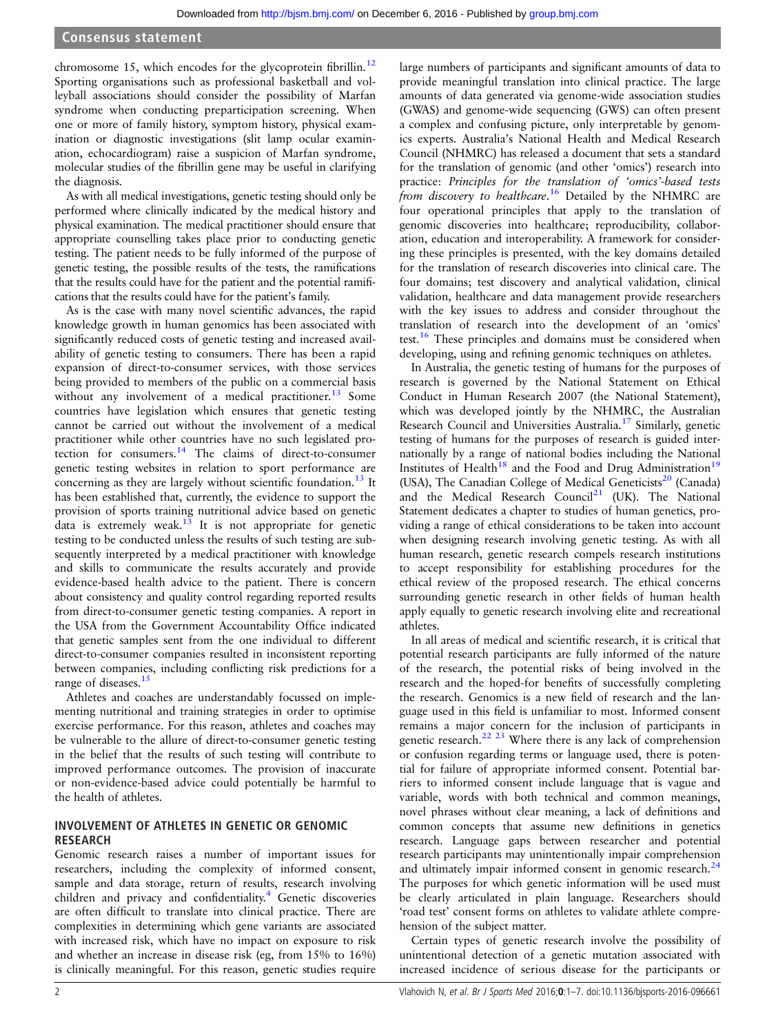# Consensus statement

chromosome 15, which encodes for the glycoprotein fibrillin.<sup>[12](#page-5-0)</sup> Sporting organisations such as professional basketball and volleyball associations should consider the possibility of Marfan syndrome when conducting preparticipation screening. When one or more of family history, symptom history, physical examination or diagnostic investigations (slit lamp ocular examination, echocardiogram) raise a suspicion of Marfan syndrome, molecular studies of the fibrillin gene may be useful in clarifying the diagnosis.

As with all medical investigations, genetic testing should only be performed where clinically indicated by the medical history and physical examination. The medical practitioner should ensure that appropriate counselling takes place prior to conducting genetic testing. The patient needs to be fully informed of the purpose of genetic testing, the possible results of the tests, the ramifications that the results could have for the patient and the potential ramifications that the results could have for the patient's family.

As is the case with many novel scientific advances, the rapid knowledge growth in human genomics has been associated with significantly reduced costs of genetic testing and increased availability of genetic testing to consumers. There has been a rapid expansion of direct-to-consumer services, with those services being provided to members of the public on a commercial basis without any involvement of a medical practitioner.<sup>[13](#page-5-0)</sup> Some countries have legislation which ensures that genetic testing cannot be carried out without the involvement of a medical practitioner while other countries have no such legislated protection for consumers[.14](#page-5-0) The claims of direct-to-consumer genetic testing websites in relation to sport performance are concerning as they are largely without scientific foundation.<sup>[13](#page-5-0)</sup> It has been established that, currently, the evidence to support the provision of sports training nutritional advice based on genetic data is extremely weak. $13$  It is not appropriate for genetic testing to be conducted unless the results of such testing are subsequently interpreted by a medical practitioner with knowledge and skills to communicate the results accurately and provide evidence-based health advice to the patient. There is concern about consistency and quality control regarding reported results from direct-to-consumer genetic testing companies. A report in the USA from the Government Accountability Office indicated that genetic samples sent from the one individual to different direct-to-consumer companies resulted in inconsistent reporting between companies, including conflicting risk predictions for a range of diseases.<sup>[15](#page-5-0)</sup>

Athletes and coaches are understandably focussed on implementing nutritional and training strategies in order to optimise exercise performance. For this reason, athletes and coaches may be vulnerable to the allure of direct-to-consumer genetic testing in the belief that the results of such testing will contribute to improved performance outcomes. The provision of inaccurate or non-evidence-based advice could potentially be harmful to the health of athletes.

# INVOLVEMENT OF ATHLETES IN GENETIC OR GENOMIC RESEARCH

Genomic research raises a number of important issues for researchers, including the complexity of informed consent, sample and data storage, return of results, research involving children and privacy and confidentiality.<sup>[4](#page-5-0)</sup> Genetic discoveries are often difficult to translate into clinical practice. There are complexities in determining which gene variants are associated with increased risk, which have no impact on exposure to risk and whether an increase in disease risk (eg, from 15% to 16%) is clinically meaningful. For this reason, genetic studies require

large numbers of participants and significant amounts of data to provide meaningful translation into clinical practice. The large amounts of data generated via genome-wide association studies (GWAS) and genome-wide sequencing (GWS) can often present a complex and confusing picture, only interpretable by genomics experts. Australia's National Health and Medical Research Council (NHMRC) has released a document that sets a standard for the translation of genomic (and other 'omics') research into practice: Principles for the translation of 'omics'-based tests from discovery to healthcare.<sup>[16](#page-5-0)</sup> Detailed by the NHMRC are four operational principles that apply to the translation of genomic discoveries into healthcare; reproducibility, collaboration, education and interoperability. A framework for considering these principles is presented, with the key domains detailed for the translation of research discoveries into clinical care. The four domains; test discovery and analytical validation, clinical validation, healthcare and data management provide researchers with the key issues to address and consider throughout the translation of research into the development of an 'omics' test.<sup>[16](#page-5-0)</sup> These principles and domains must be considered when developing, using and refining genomic techniques on athletes.

In Australia, the genetic testing of humans for the purposes of research is governed by the National Statement on Ethical Conduct in Human Research 2007 (the National Statement), which was developed jointly by the NHMRC, the Australian Research Council and Universities Australia[.17](#page-6-0) Similarly, genetic testing of humans for the purposes of research is guided internationally by a range of national bodies including the National Institutes of Health<sup>[18](#page-6-0)</sup> and the Food and Drug Administration<sup>[19](#page-6-0)</sup> (USA), The Canadian College of Medical Geneticists<sup>20</sup> (Canada) and the Medical Research Council<sup>21</sup> (UK). The National Statement dedicates a chapter to studies of human genetics, providing a range of ethical considerations to be taken into account when designing research involving genetic testing. As with all human research, genetic research compels research institutions to accept responsibility for establishing procedures for the ethical review of the proposed research. The ethical concerns surrounding genetic research in other fields of human health apply equally to genetic research involving elite and recreational athletes.

In all areas of medical and scientific research, it is critical that potential research participants are fully informed of the nature of the research, the potential risks of being involved in the research and the hoped-for benefits of successfully completing the research. Genomics is a new field of research and the language used in this field is unfamiliar to most. Informed consent remains a major concern for the inclusion of participants in genetic research.[22 23](#page-6-0) Where there is any lack of comprehension or confusion regarding terms or language used, there is potential for failure of appropriate informed consent. Potential barriers to informed consent include language that is vague and variable, words with both technical and common meanings, novel phrases without clear meaning, a lack of definitions and common concepts that assume new definitions in genetics research. Language gaps between researcher and potential research participants may unintentionally impair comprehension and ultimately impair informed consent in genomic research. $24$ The purposes for which genetic information will be used must be clearly articulated in plain language. Researchers should 'road test' consent forms on athletes to validate athlete comprehension of the subject matter.

Certain types of genetic research involve the possibility of unintentional detection of a genetic mutation associated with increased incidence of serious disease for the participants or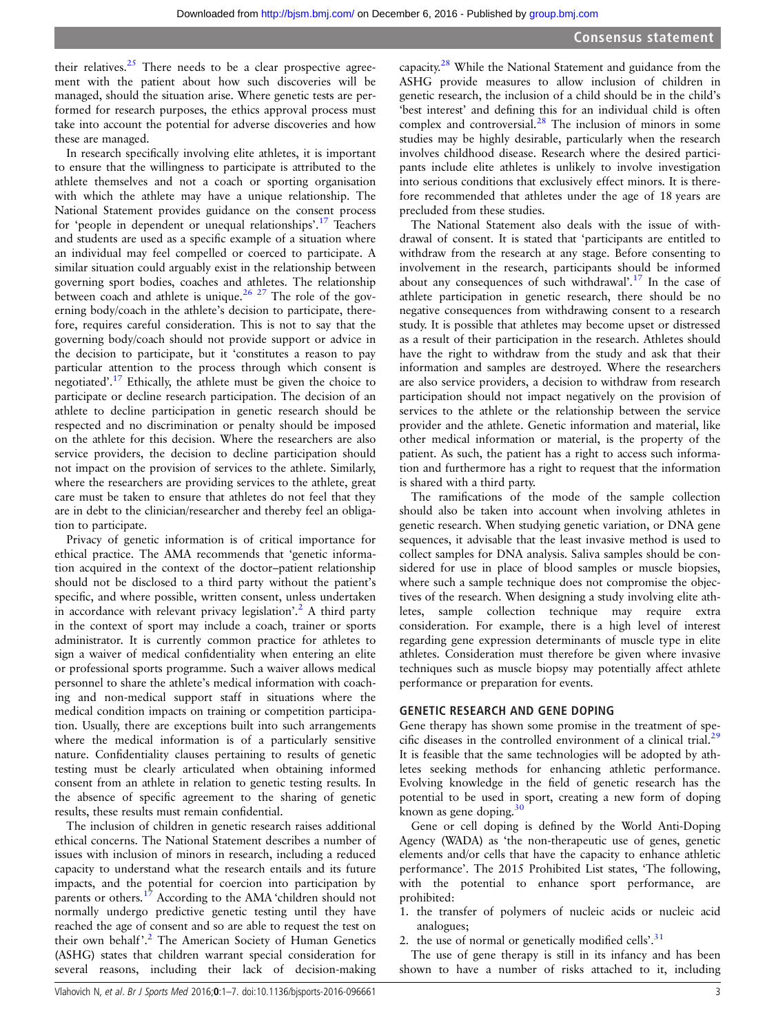their relatives. $25$  There needs to be a clear prospective agreement with the patient about how such discoveries will be managed, should the situation arise. Where genetic tests are performed for research purposes, the ethics approval process must take into account the potential for adverse discoveries and how these are managed.

In research specifically involving elite athletes, it is important to ensure that the willingness to participate is attributed to the athlete themselves and not a coach or sporting organisation with which the athlete may have a unique relationship. The National Statement provides guidance on the consent process for 'people in dependent or unequal relationships'.<sup>[17](#page-6-0)</sup> Teachers and students are used as a specific example of a situation where an individual may feel compelled or coerced to participate. A similar situation could arguably exist in the relationship between governing sport bodies, coaches and athletes. The relationship between coach and athlete is unique.<sup>[26 27](#page-6-0)</sup> The role of the governing body/coach in the athlete's decision to participate, therefore, requires careful consideration. This is not to say that the governing body/coach should not provide support or advice in the decision to participate, but it 'constitutes a reason to pay particular attention to the process through which consent is negotiated'.<sup>[17](#page-6-0)</sup> Ethically, the athlete must be given the choice to participate or decline research participation. The decision of an athlete to decline participation in genetic research should be respected and no discrimination or penalty should be imposed on the athlete for this decision. Where the researchers are also service providers, the decision to decline participation should not impact on the provision of services to the athlete. Similarly, where the researchers are providing services to the athlete, great care must be taken to ensure that athletes do not feel that they are in debt to the clinician/researcher and thereby feel an obligation to participate.

Privacy of genetic information is of critical importance for ethical practice. The AMA recommends that 'genetic information acquired in the context of the doctor–patient relationship should not be disclosed to a third party without the patient's specific, and where possible, written consent, unless undertaken in accordance with relevant privacy legislation'.<sup>[2](#page-5-0)</sup> A third party in the context of sport may include a coach, trainer or sports administrator. It is currently common practice for athletes to sign a waiver of medical confidentiality when entering an elite or professional sports programme. Such a waiver allows medical personnel to share the athlete's medical information with coaching and non-medical support staff in situations where the medical condition impacts on training or competition participation. Usually, there are exceptions built into such arrangements where the medical information is of a particularly sensitive nature. Confidentiality clauses pertaining to results of genetic testing must be clearly articulated when obtaining informed consent from an athlete in relation to genetic testing results. In the absence of specific agreement to the sharing of genetic results, these results must remain confidential.

The inclusion of children in genetic research raises additional ethical concerns. The National Statement describes a number of issues with inclusion of minors in research, including a reduced capacity to understand what the research entails and its future impacts, and the potential for coercion into participation by parents or others.<sup>[17](#page-6-0)</sup> According to the AMA 'children should not normally undergo predictive genetic testing until they have reached the age of consent and so are able to request the test on their own behalf'. [2](#page-5-0) The American Society of Human Genetics (ASHG) states that children warrant special consideration for several reasons, including their lack of decision-making

capacity[.28](#page-6-0) While the National Statement and guidance from the ASHG provide measures to allow inclusion of children in genetic research, the inclusion of a child should be in the child's 'best interest' and defining this for an individual child is often complex and controversial.<sup>[28](#page-6-0)</sup> The inclusion of minors in some studies may be highly desirable, particularly when the research involves childhood disease. Research where the desired participants include elite athletes is unlikely to involve investigation into serious conditions that exclusively effect minors. It is therefore recommended that athletes under the age of 18 years are precluded from these studies.

The National Statement also deals with the issue of withdrawal of consent. It is stated that 'participants are entitled to withdraw from the research at any stage. Before consenting to involvement in the research, participants should be informed about any consequences of such withdrawal'.<sup>[17](#page-6-0)</sup> In the case of athlete participation in genetic research, there should be no negative consequences from withdrawing consent to a research study. It is possible that athletes may become upset or distressed as a result of their participation in the research. Athletes should have the right to withdraw from the study and ask that their information and samples are destroyed. Where the researchers are also service providers, a decision to withdraw from research participation should not impact negatively on the provision of services to the athlete or the relationship between the service provider and the athlete. Genetic information and material, like other medical information or material, is the property of the patient. As such, the patient has a right to access such information and furthermore has a right to request that the information is shared with a third party.

The ramifications of the mode of the sample collection should also be taken into account when involving athletes in genetic research. When studying genetic variation, or DNA gene sequences, it advisable that the least invasive method is used to collect samples for DNA analysis. Saliva samples should be considered for use in place of blood samples or muscle biopsies, where such a sample technique does not compromise the objectives of the research. When designing a study involving elite athletes, sample collection technique may require extra consideration. For example, there is a high level of interest regarding gene expression determinants of muscle type in elite athletes. Consideration must therefore be given where invasive techniques such as muscle biopsy may potentially affect athlete performance or preparation for events.

#### GENETIC RESEARCH AND GENE DOPING

Gene therapy has shown some promise in the treatment of spe-cific diseases in the controlled environment of a clinical trial.<sup>[29](#page-6-0)</sup> It is feasible that the same technologies will be adopted by athletes seeking methods for enhancing athletic performance. Evolving knowledge in the field of genetic research has the potential to be used in sport, creating a new form of doping known as gene doping.<sup>[30](#page-6-0)</sup>

Gene or cell doping is defined by the World Anti-Doping Agency (WADA) as 'the non-therapeutic use of genes, genetic elements and/or cells that have the capacity to enhance athletic performance'. The 2015 Prohibited List states, 'The following, with the potential to enhance sport performance, are prohibited:

- 1. the transfer of polymers of nucleic acids or nucleic acid analogues;
- 2. the use of normal or genetically modified cells'. $31$

The use of gene therapy is still in its infancy and has been shown to have a number of risks attached to it, including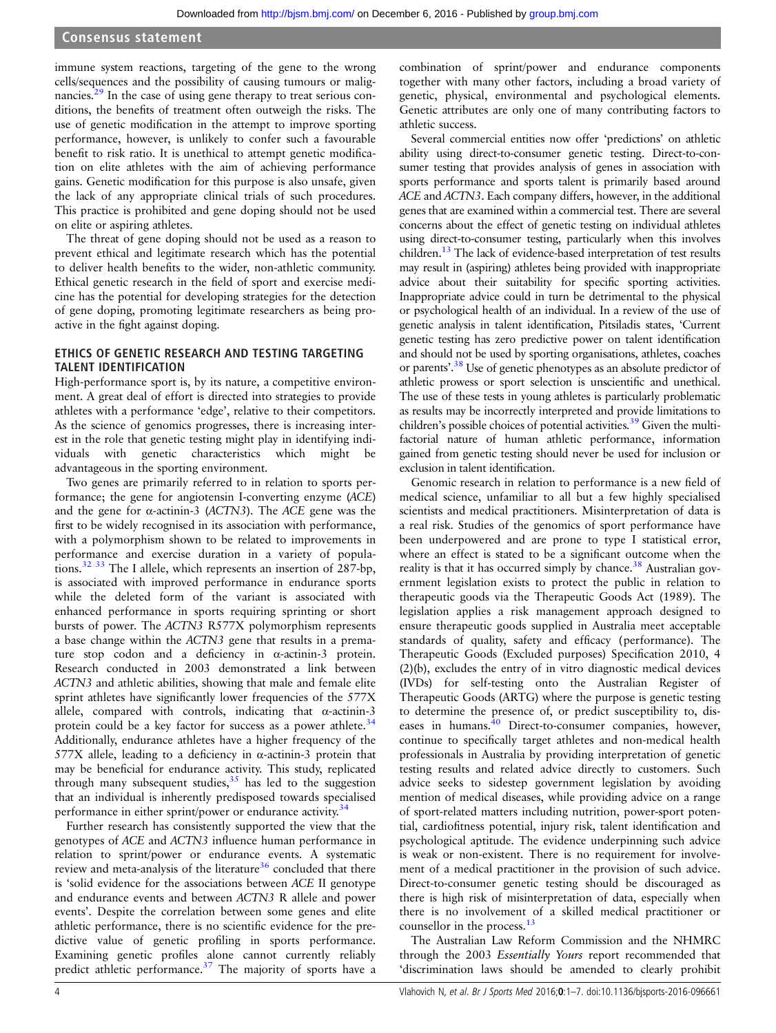# Consensus statement

immune system reactions, targeting of the gene to the wrong cells/sequences and the possibility of causing tumours or malignancies. $29$  In the case of using gene therapy to treat serious conditions, the benefits of treatment often outweigh the risks. The use of genetic modification in the attempt to improve sporting performance, however, is unlikely to confer such a favourable benefit to risk ratio. It is unethical to attempt genetic modification on elite athletes with the aim of achieving performance gains. Genetic modification for this purpose is also unsafe, given the lack of any appropriate clinical trials of such procedures. This practice is prohibited and gene doping should not be used on elite or aspiring athletes.

The threat of gene doping should not be used as a reason to prevent ethical and legitimate research which has the potential to deliver health benefits to the wider, non-athletic community. Ethical genetic research in the field of sport and exercise medicine has the potential for developing strategies for the detection of gene doping, promoting legitimate researchers as being proactive in the fight against doping.

#### ETHICS OF GENETIC RESEARCH AND TESTING TARGETING TALENT IDENTIFICATION

High-performance sport is, by its nature, a competitive environment. A great deal of effort is directed into strategies to provide athletes with a performance 'edge', relative to their competitors. As the science of genomics progresses, there is increasing interest in the role that genetic testing might play in identifying individuals with genetic characteristics which might be advantageous in the sporting environment.

Two genes are primarily referred to in relation to sports performance; the gene for angiotensin I-converting enzyme (ACE) and the gene for  $\alpha$ -actinin-3 (ACTN3). The ACE gene was the first to be widely recognised in its association with performance, with a polymorphism shown to be related to improvements in performance and exercise duration in a variety of populations.[32 33](#page-6-0) The I allele, which represents an insertion of 287-bp, is associated with improved performance in endurance sports while the deleted form of the variant is associated with enhanced performance in sports requiring sprinting or short bursts of power. The ACTN3 R577X polymorphism represents a base change within the ACTN3 gene that results in a premature stop codon and a deficiency in α-actinin-3 protein. Research conducted in 2003 demonstrated a link between ACTN3 and athletic abilities, showing that male and female elite sprint athletes have significantly lower frequencies of the 577X allele, compared with controls, indicating that  $\alpha$ -actinin-3 protein could be a key factor for success as a power athlete.<sup>34</sup> Additionally, endurance athletes have a higher frequency of the 577X allele, leading to a deficiency in α-actinin-3 protein that may be beneficial for endurance activity. This study, replicated through many subsequent studies, $35$  has led to the suggestion that an individual is inherently predisposed towards specialised performance in either sprint/power or endurance activity. $34$ 

Further research has consistently supported the view that the genotypes of ACE and ACTN3 influence human performance in relation to sprint/power or endurance events. A systematic review and meta-analysis of the literature $36$  concluded that there is 'solid evidence for the associations between ACE II genotype and endurance events and between ACTN3 R allele and power events'. Despite the correlation between some genes and elite athletic performance, there is no scientific evidence for the predictive value of genetic profiling in sports performance. Examining genetic profiles alone cannot currently reliably predict athletic performance.<sup>[37](#page-6-0)</sup> The majority of sports have a

combination of sprint/power and endurance components together with many other factors, including a broad variety of genetic, physical, environmental and psychological elements. Genetic attributes are only one of many contributing factors to athletic success.

Several commercial entities now offer 'predictions' on athletic ability using direct-to-consumer genetic testing. Direct-to-consumer testing that provides analysis of genes in association with sports performance and sports talent is primarily based around ACE and ACTN3. Each company differs, however, in the additional genes that are examined within a commercial test. There are several concerns about the effect of genetic testing on individual athletes using direct-to-consumer testing, particularly when this involves children.<sup>13</sup> The lack of evidence-based interpretation of test results may result in (aspiring) athletes being provided with inappropriate advice about their suitability for specific sporting activities. Inappropriate advice could in turn be detrimental to the physical or psychological health of an individual. In a review of the use of genetic analysis in talent identification, Pitsiladis states, 'Current genetic testing has zero predictive power on talent identification and should not be used by sporting organisations, athletes, coaches or parents'.<sup>[38](#page-6-0)</sup> Use of genetic phenotypes as an absolute predictor of athletic prowess or sport selection is unscientific and unethical. The use of these tests in young athletes is particularly problematic as results may be incorrectly interpreted and provide limitations to children's possible choices of potential activities.<sup>39</sup> Given the multifactorial nature of human athletic performance, information gained from genetic testing should never be used for inclusion or exclusion in talent identification.

Genomic research in relation to performance is a new field of medical science, unfamiliar to all but a few highly specialised scientists and medical practitioners. Misinterpretation of data is a real risk. Studies of the genomics of sport performance have been underpowered and are prone to type I statistical error, where an effect is stated to be a significant outcome when the reality is that it has occurred simply by chance.<sup>[38](#page-6-0)</sup> Australian government legislation exists to protect the public in relation to therapeutic goods via the Therapeutic Goods Act (1989). The legislation applies a risk management approach designed to ensure therapeutic goods supplied in Australia meet acceptable standards of quality, safety and efficacy (performance). The Therapeutic Goods (Excluded purposes) Specification 2010, 4 (2)(b), excludes the entry of in vitro diagnostic medical devices (IVDs) for self-testing onto the Australian Register of Therapeutic Goods (ARTG) where the purpose is genetic testing to determine the presence of, or predict susceptibility to, diseases in humans. $40$  Direct-to-consumer companies, however, continue to specifically target athletes and non-medical health professionals in Australia by providing interpretation of genetic testing results and related advice directly to customers. Such advice seeks to sidestep government legislation by avoiding mention of medical diseases, while providing advice on a range of sport-related matters including nutrition, power-sport potential, cardiofitness potential, injury risk, talent identification and psychological aptitude. The evidence underpinning such advice is weak or non-existent. There is no requirement for involvement of a medical practitioner in the provision of such advice. Direct-to-consumer genetic testing should be discouraged as there is high risk of misinterpretation of data, especially when there is no involvement of a skilled medical practitioner or counsellor in the process.<sup>[13](#page-5-0)</sup>

The Australian Law Reform Commission and the NHMRC through the 2003 Essentially Yours report recommended that 'discrimination laws should be amended to clearly prohibit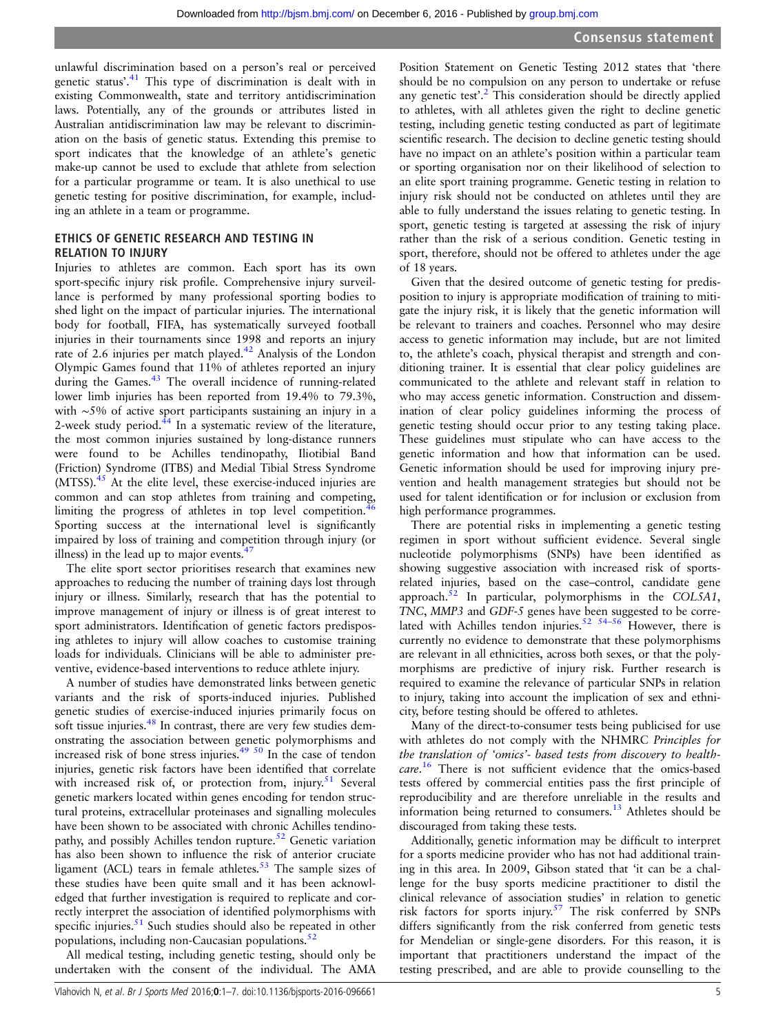unlawful discrimination based on a person's real or perceived genetic status'. [41](#page-6-0) This type of discrimination is dealt with in existing Commonwealth, state and territory antidiscrimination laws. Potentially, any of the grounds or attributes listed in Australian antidiscrimination law may be relevant to discrimination on the basis of genetic status. Extending this premise to sport indicates that the knowledge of an athlete's genetic make-up cannot be used to exclude that athlete from selection for a particular programme or team. It is also unethical to use genetic testing for positive discrimination, for example, including an athlete in a team or programme.

# ETHICS OF GENETIC RESEARCH AND TESTING IN RELATION TO INJURY

Injuries to athletes are common. Each sport has its own sport-specific injury risk profile. Comprehensive injury surveillance is performed by many professional sporting bodies to shed light on the impact of particular injuries. The international body for football, FIFA, has systematically surveyed football injuries in their tournaments since 1998 and reports an injury rate of 2.6 injuries per match played.<sup>42</sup> Analysis of the London Olympic Games found that 11% of athletes reported an injury during the Games.<sup>[43](#page-6-0)</sup> The overall incidence of running-related lower limb injuries has been reported from 19.4% to 79.3%, with ∼5% of active sport participants sustaining an injury in a 2-week study period. $^{44}$  In a systematic review of the literature, the most common injuries sustained by long-distance runners were found to be Achilles tendinopathy, Iliotibial Band (Friction) Syndrome (ITBS) and Medial Tibial Stress Syndrome  $(MTSS).$ <sup>[45](#page-6-0)</sup> At the elite level, these exercise-induced injuries are common and can stop athletes from training and competing, limiting the progress of athletes in top level competition.<sup>4</sup> Sporting success at the international level is significantly impaired by loss of training and competition through injury (or illness) in the lead up to major events. $47$ 

The elite sport sector prioritises research that examines new approaches to reducing the number of training days lost through injury or illness. Similarly, research that has the potential to improve management of injury or illness is of great interest to sport administrators. Identification of genetic factors predisposing athletes to injury will allow coaches to customise training loads for individuals. Clinicians will be able to administer preventive, evidence-based interventions to reduce athlete injury.

A number of studies have demonstrated links between genetic variants and the risk of sports-induced injuries. Published genetic studies of exercise-induced injuries primarily focus on soft tissue injuries.<sup>[48](#page-6-0)</sup> In contrast, there are very few studies demonstrating the association between genetic polymorphisms and increased risk of bone stress injuries.[49 50](#page-6-0) In the case of tendon injuries, genetic risk factors have been identified that correlate with increased risk of, or protection from, injury.<sup>[51](#page-6-0)</sup> Several genetic markers located within genes encoding for tendon structural proteins, extracellular proteinases and signalling molecules have been shown to be associated with chronic Achilles tendino-pathy, and possibly Achilles tendon rupture.<sup>[52](#page-6-0)</sup> Genetic variation has also been shown to influence the risk of anterior cruciate ligament (ACL) tears in female athletes. $53$  The sample sizes of these studies have been quite small and it has been acknowledged that further investigation is required to replicate and correctly interpret the association of identified polymorphisms with specific injuries. $51$  Such studies should also be repeated in other populations, including non-Caucasian populations. $52$ 

All medical testing, including genetic testing, should only be undertaken with the consent of the individual. The AMA

Position Statement on Genetic Testing 2012 states that 'there should be no compulsion on any person to undertake or refuse any genetic test'.<sup>[2](#page-5-0)</sup> This consideration should be directly applied to athletes, with all athletes given the right to decline genetic testing, including genetic testing conducted as part of legitimate scientific research. The decision to decline genetic testing should have no impact on an athlete's position within a particular team or sporting organisation nor on their likelihood of selection to an elite sport training programme. Genetic testing in relation to injury risk should not be conducted on athletes until they are able to fully understand the issues relating to genetic testing. In sport, genetic testing is targeted at assessing the risk of injury rather than the risk of a serious condition. Genetic testing in sport, therefore, should not be offered to athletes under the age of 18 years.

Given that the desired outcome of genetic testing for predisposition to injury is appropriate modification of training to mitigate the injury risk, it is likely that the genetic information will be relevant to trainers and coaches. Personnel who may desire access to genetic information may include, but are not limited to, the athlete's coach, physical therapist and strength and conditioning trainer. It is essential that clear policy guidelines are communicated to the athlete and relevant staff in relation to who may access genetic information. Construction and dissemination of clear policy guidelines informing the process of genetic testing should occur prior to any testing taking place. These guidelines must stipulate who can have access to the genetic information and how that information can be used. Genetic information should be used for improving injury prevention and health management strategies but should not be used for talent identification or for inclusion or exclusion from high performance programmes.

There are potential risks in implementing a genetic testing regimen in sport without sufficient evidence. Several single nucleotide polymorphisms (SNPs) have been identified as showing suggestive association with increased risk of sportsrelated injuries, based on the case–control, candidate gene approach. $52$  In particular, polymorphisms in the COL5A1, TNC, MMP3 and GDF-5 genes have been suggested to be correlated with Achilles tendon injuries.<sup>52</sup>  $\frac{54-56}{\text{However, there is}}$ currently no evidence to demonstrate that these polymorphisms are relevant in all ethnicities, across both sexes, or that the polymorphisms are predictive of injury risk. Further research is required to examine the relevance of particular SNPs in relation to injury, taking into account the implication of sex and ethnicity, before testing should be offered to athletes.

Many of the direct-to-consumer tests being publicised for use with athletes do not comply with the NHMRC Principles for the translation of 'omics'- based tests from discovery to health-care.<sup>[16](#page-5-0)</sup> There is not sufficient evidence that the omics-based tests offered by commercial entities pass the first principle of reproducibility and are therefore unreliable in the results and information being returned to consumers.[13](#page-5-0) Athletes should be discouraged from taking these tests.

Additionally, genetic information may be difficult to interpret for a sports medicine provider who has not had additional training in this area. In 2009, Gibson stated that 'it can be a challenge for the busy sports medicine practitioner to distil the clinical relevance of association studies' in relation to genetic risk factors for sports injury.<sup>[57](#page-6-0)</sup> The risk conferred by SNPs differs significantly from the risk conferred from genetic tests for Mendelian or single-gene disorders. For this reason, it is important that practitioners understand the impact of the testing prescribed, and are able to provide counselling to the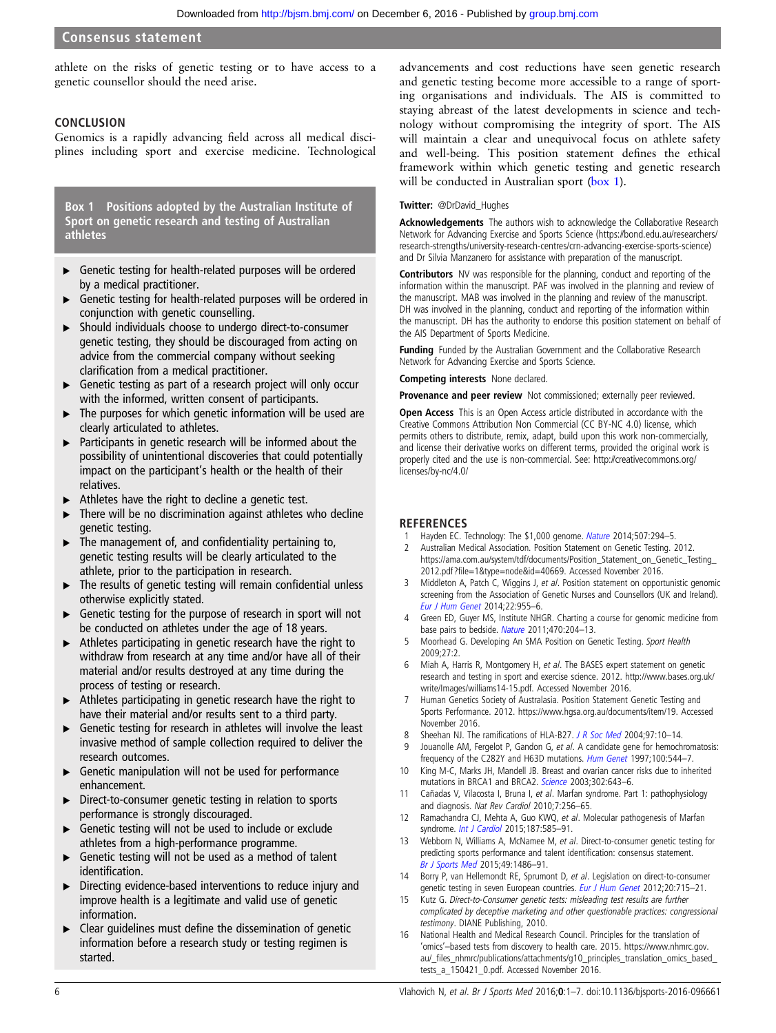# <span id="page-5-0"></span>Consensus statement

athlete on the risks of genetic testing or to have access to a genetic counsellor should the need arise.

### **CONCLUSION**

Genomics is a rapidly advancing field across all medical disciplines including sport and exercise medicine. Technological

# Box 1 Positions adopted by the Australian Institute of Sport on genetic research and testing of Australian athletes

- ▸ Genetic testing for health-related purposes will be ordered by a medical practitioner.
- ▸ Genetic testing for health-related purposes will be ordered in conjunction with genetic counselling.
- ▸ Should individuals choose to undergo direct-to-consumer genetic testing, they should be discouraged from acting on advice from the commercial company without seeking clarification from a medical practitioner.
- ▸ Genetic testing as part of a research project will only occur with the informed, written consent of participants.
- $\blacktriangleright$  The purposes for which genetic information will be used are clearly articulated to athletes.
- ▸ Participants in genetic research will be informed about the possibility of unintentional discoveries that could potentially impact on the participant's health or the health of their relatives.
- $\blacktriangleright$  Athletes have the right to decline a genetic test.
- ▶ There will be no discrimination against athletes who decline genetic testing.
- $\blacktriangleright$  The management of, and confidentiality pertaining to, genetic testing results will be clearly articulated to the athlete, prior to the participation in research.
- $\triangleright$  The results of genetic testing will remain confidential unless otherwise explicitly stated.
- ▸ Genetic testing for the purpose of research in sport will not be conducted on athletes under the age of 18 years.
- ▸ Athletes participating in genetic research have the right to withdraw from research at any time and/or have all of their material and/or results destroyed at any time during the process of testing or research.
- $\triangleright$  Athletes participating in genetic research have the right to have their material and/or results sent to a third party.
- $\triangleright$  Genetic testing for research in athletes will involve the least invasive method of sample collection required to deliver the research outcomes.
- $\blacktriangleright$  Genetic manipulation will not be used for performance enhancement.
- ▸ Direct-to-consumer genetic testing in relation to sports performance is strongly discouraged.
- ▸ Genetic testing will not be used to include or exclude athletes from a high-performance programme.
- ▸ Genetic testing will not be used as a method of talent identification.
- ▸ Directing evidence-based interventions to reduce injury and improve health is a legitimate and valid use of genetic information.
- $\blacktriangleright$  Clear guidelines must define the dissemination of genetic information before a research study or testing regimen is started.

advancements and cost reductions have seen genetic research and genetic testing become more accessible to a range of sporting organisations and individuals. The AIS is committed to staying abreast of the latest developments in science and technology without compromising the integrity of sport. The AIS will maintain a clear and unequivocal focus on athlete safety and well-being. This position statement defines the ethical framework within which genetic testing and genetic research will be conducted in Australian sport (box 1).

#### Twitter: @DrDavid\_Hughes

Acknowledgements The authors wish to acknowledge the Collaborative Research Network for Advancing Exercise and Sports Science (https://bond.edu.au/researchers/ research-strengths/university-research-centres/crn-advancing-exercise-sports-science) and Dr Silvia Manzanero for assistance with preparation of the manuscript.

Contributors NV was responsible for the planning, conduct and reporting of the information within the manuscript. PAF was involved in the planning and review of the manuscript. MAB was involved in the planning and review of the manuscript. DH was involved in the planning, conduct and reporting of the information within the manuscript. DH has the authority to endorse this position statement on behalf of the AIS Department of Sports Medicine.

Funding Funded by the Australian Government and the Collaborative Research Network for Advancing Exercise and Sports Science.

Competing interests None declared.

Provenance and peer review Not commissioned; externally peer reviewed.

Open Access This is an Open Access article distributed in accordance with the Creative Commons Attribution Non Commercial (CC BY-NC 4.0) license, which permits others to distribute, remix, adapt, build upon this work non-commercially, and license their derivative works on different terms, provided the original work is properly cited and the use is non-commercial. See: [http://creativecommons.org/](http://creativecommons.org/licenses/by-nc/4.0/) [licenses/by-nc/4.0/](http://creativecommons.org/licenses/by-nc/4.0/)

# **REFERENCES**

- Hayden EC. Technology: The \$1,000 genome. [Nature](http://dx.doi.org/10.1038/507294a) 2014;507:294-5.
- 2 Australian Medical Association. Position Statement on Genetic Testing. 2012. https://ama.com.au/system/tdf/documents/Position\_Statement\_on\_Genetic\_Testing 2012.pdf?fi[le=1&type=node&id=40669.](https://ama.com.au/system/tdf/documents/Position_Statement_on_Genetic_Testing_2012.pdf?file=1&type=node&id=40669) Accessed November 2016.
- 3 Middleton A, Patch C, Wiggins J, et al. Position statement on opportunistic genomic screening from the Association of Genetic Nurses and Counsellors (UK and Ireland). [Eur J Hum Genet](http://dx.doi.org/10.1038/ejhg.2013.301) 2014;22:955–6.
- 4 Green ED, Guyer MS, Institute NHGR. Charting a course for genomic medicine from base pairs to bedside. [Nature](http://dx.doi.org/10.1038/nature09764) 2011;470:204-13.
- 5 Moorhead G. Developing An SMA Position on Genetic Testing. Sport Health 2009;27:2.
- 6 Miah A, Harris R, Montgomery H, et al. The BASES expert statement on genetic research and testing in sport and exercise science. 2012. [http://www.bases.org.uk/](http://www.bases.org.uk/write/Images/williams14-15.pdf) [write/Images/williams14-15.pdf](http://www.bases.org.uk/write/Images/williams14-15.pdf). Accessed November 2016.
- 7 Human Genetics Society of Australasia. Position Statement Genetic Testing and Sports Performance. 2012. [https://www.hgsa.org.au/documents/item/19.](https://www.hgsa.org.au/documents/item/19) Accessed November 2016.
- 8 Sheehan NJ. The ramifications of HLA-B27. [J R Soc Med](http://dx.doi.org/10.1258/jrsm.97.1.10) 2004;97:10-14.
- 9 Jouanolle AM, Fergelot P, Gandon G, et al. A candidate gene for hemochromatosis: frequency of the C282Y and H63D mutations. [Hum Genet](http://dx.doi.org/10.1007/s004390050549) 1997;100:544-7.
- 10 King M-C, Marks JH, Mandell JB. Breast and ovarian cancer risks due to inherited mutations in BRCA1 and BRCA2. [Science](http://dx.doi.org/10.1126/science.1088759) 2003;302:643-6.
- 11 Cañadas V, Vilacosta I, Bruna I, et al. Marfan syndrome. Part 1: pathophysiology and diagnosis. Nat Rev Cardiol 2010;7:256–65.
- 12 Ramachandra CJ, Mehta A, Guo KWQ, et al. Molecular pathogenesis of Marfan syndrome. *[Int J Cardiol](http://dx.doi.org/10.1016/j.ijcard.2015.03.423)* 2015;187:585-91.
- 13 Webborn N, Williams A, McNamee M, et al. Direct-to-consumer genetic testing for predicting sports performance and talent identification: consensus statement. [Br J Sports Med](http://dx.doi.org/10.1136/bjsports-2015-095343) 2015;49:1486–91.
- 14 Borry P, van Hellemondt RE, Sprumont D, et al. Legislation on direct-to-consumer genetic testing in seven European countries. [Eur J Hum Genet](http://dx.doi.org/10.1038/ejhg.2011.278) 2012;20:715-21.
- 15 Kutz G. Direct-to-Consumer genetic tests: misleading test results are further complicated by deceptive marketing and other questionable practices: congressional testimony. DIANE Publishing, 2010.
- 16 National Health and Medical Research Council. Principles for the translation of 'omics'–based tests from discovery to health care. 2015. [https://www.nhmrc.gov.](https://www.nhmrc.gov.au/_files_nhmrc/publications/attachments/g10_principles_translation_omics_based_tests_a_150421_0.pdf) au/\_fi[les\\_nhmrc/publications/attachments/g10\\_principles\\_translation\\_omics\\_based\\_](https://www.nhmrc.gov.au/_files_nhmrc/publications/attachments/g10_principles_translation_omics_based_tests_a_150421_0.pdf) [tests\\_a\\_150421\\_0.pdf](https://www.nhmrc.gov.au/_files_nhmrc/publications/attachments/g10_principles_translation_omics_based_tests_a_150421_0.pdf). Accessed November 2016.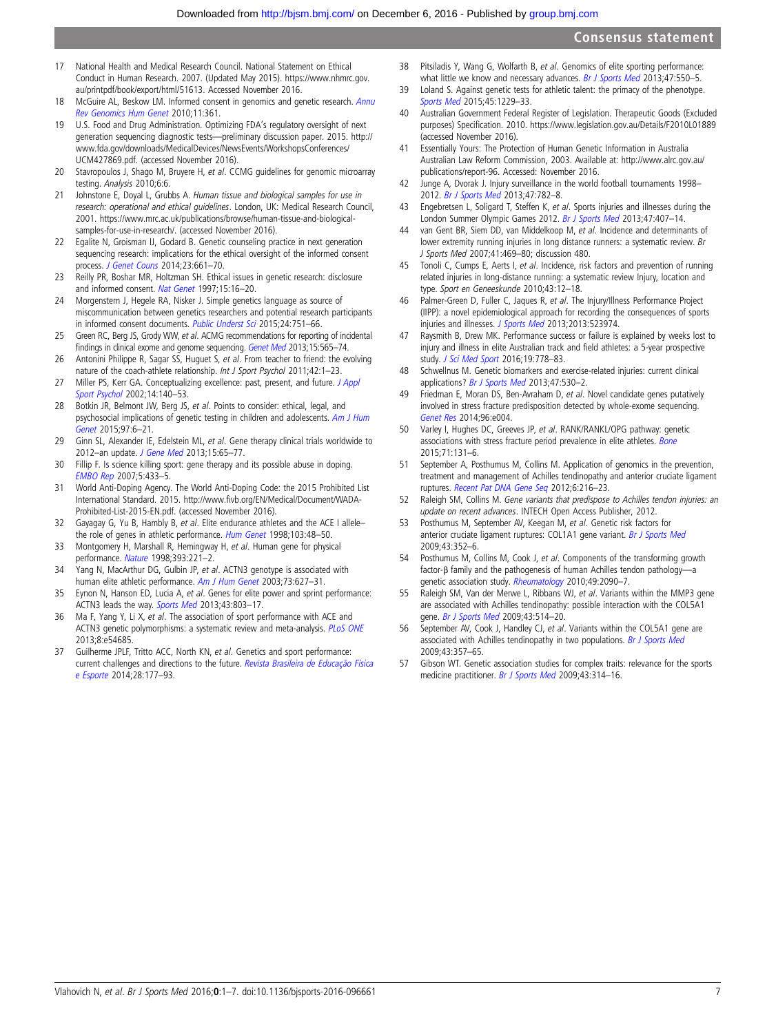- <span id="page-6-0"></span>17 National Health and Medical Research Council National Statement on Ethical Conduct in Human Research. 2007. (Updated May 2015). [https://www.nhmrc.gov.](https://www.nhmrc.gov.au/printpdf/book/export/html/51613) [au/printpdf/book/export/html/51613.](https://www.nhmrc.gov.au/printpdf/book/export/html/51613) Accessed November 2016.
- 18 McGuire AL, Beskow LM. Informed consent in genomics and genetic research. [Annu](http://dx.doi.org/10.1146/annurev-genom-082509-141711) [Rev Genomics Hum Genet](http://dx.doi.org/10.1146/annurev-genom-082509-141711) 2010;11:361.
- 19 U.S. Food and Drug Administration. Optimizing FDA's regulatory oversight of next generation sequencing diagnostic tests—preliminary discussion paper. 2015. [http://](http://www.fda.gov/downloads/MedicalDevices/NewsEvents/WorkshopsConferences/UCM427869.pdf) [www.fda.gov/downloads/MedicalDevices/NewsEvents/WorkshopsConferences/](http://www.fda.gov/downloads/MedicalDevices/NewsEvents/WorkshopsConferences/UCM427869.pdf) [UCM427869.pdf](http://www.fda.gov/downloads/MedicalDevices/NewsEvents/WorkshopsConferences/UCM427869.pdf). (accessed November 2016).
- 20 Stavropoulos J, Shago M, Bruyere H, et al. CCMG guidelines for genomic microarray testing. Analysis 2010;6:6.
- 21 Johnstone E, Doyal L, Grubbs A. Human tissue and biological samples for use in research: operational and ethical guidelines. London, UK: Medical Research Council, 2001. [https://www.mrc.ac.uk/publications/browse/human-tissue-and-biological](https://www.mrc.ac.uk/publications/browse/human-tissue-and-biological-samples-for-use-in-research/)[samples-for-use-in-research/.](https://www.mrc.ac.uk/publications/browse/human-tissue-and-biological-samples-for-use-in-research/) (accessed November 2016).
- 22 Egalite N, Groisman IJ, Godard B. Genetic counseling practice in next generation sequencing research: implications for the ethical oversight of the informed consent process. [J Genet Couns](http://dx.doi.org/10.1007/s10897-014-9703-x) 2014;23:661–70.
- 23 Reilly PR, Boshar MR, Holtzman SH. Ethical issues in genetic research: disclosure and informed consent. [Nat Genet](http://dx.doi.org/10.1038/ng0197-16) 1997;15:16–20.
- 24 Morgenstern J, Hegele RA, Nisker J. Simple genetics language as source of miscommunication between genetics researchers and potential research participants in informed consent documents. [Public Underst Sci](http://dx.doi.org/10.1177/0963662514528439) 2015;24:751-66.
- 25 Green RC, Berg JS, Grody WW, et al. ACMG recommendations for reporting of incidental findings in clinical exome and genome sequencing. [Genet Med](http://dx.doi.org/10.1038/gim.2013.73) 2013;15:565-74.
- 26 Antonini Philippe R, Sagar SS, Huguet S, et al. From teacher to friend: the evolving nature of the coach-athlete relationship. Int J Sport Psychol 2011;42:1-23.
- 27 Miller PS, Kerr GA. Conceptualizing excellence: past, present, and future. [J Appl](http://dx.doi.org/10.1080/10413200290103464) [Sport Psychol](http://dx.doi.org/10.1080/10413200290103464) 2002;14:140–53.
- 28 Botkin JR, Belmont JW, Berg JS, et al. Points to consider: ethical, legal, and psychosocial implications of genetic testing in children and adolescents. [Am J Hum](http://dx.doi.org/10.1016/j.ajhg.2015.05.022) [Genet](http://dx.doi.org/10.1016/j.ajhg.2015.05.022) 2015;97:6–21.
- 29 Ginn SL, Alexander IE, Edelstein ML, et al. Gene therapy clinical trials worldwide to 2012-an update. [J Gene Med](http://dx.doi.org/10.1002/jgm.2698) 2013;15:65-77.
- 30 Fillip F. Is science killing sport: gene therapy and its possible abuse in doping. [EMBO Rep](http://dx.doi.org/10.1038/sj.embor.7400968) 2007;5:433–5.
- 31 World Anti-Doping Agency. The World Anti-Doping Code: the 2015 Prohibited List International Standard. 2015. http://www.fi[vb.org/EN/Medical/Document/WADA-](http://www.fivb.org/EN/Medical/Document/WADA-Prohibited-List-2015-EN.pdf)[Prohibited-List-2015-EN.pdf](http://www.fivb.org/EN/Medical/Document/WADA-Prohibited-List-2015-EN.pdf). (accessed November 2016).
- 32 Gayagay G, Yu B, Hambly B, et al. Elite endurance athletes and the ACE I allele-the role of genes in athletic performance. [Hum Genet](http://dx.doi.org/10.1007/s004390050781) 1998;103:48-50.
- 33 Montgomery H, Marshall R, Hemingway H, et al. Human gene for physical performance. [Nature](http://dx.doi.org/10.1038/30374) 1998;393:221–2.
- 34 Yang N, MacArthur DG, Gulbin JP, et al. ACTN3 genotype is associated with human elite athletic performance. [Am J Hum Genet](http://dx.doi.org/10.1086/377590) 2003;73:627-31.
- 35 Eynon N, Hanson ED, Lucia A, et al. Genes for elite power and sprint performance: ACTN3 leads the way. [Sports Med](http://dx.doi.org/10.1007/s40279-013-0059-4) 2013;43:803-17.
- 36 Ma F, Yang Y, Li X, et al. The association of sport performance with ACE and ACTN3 genetic polymorphisms: a systematic review and meta-analysis. [PLoS ONE](http://dx.doi.org/10.1371/journal.pone.0054685) 2013;8:e54685.
- 37 Guilherme JPLF, Tritto ACC, North KN, et al. Genetics and sport performance: current challenges and directions to the future. [Revista Brasileira de Educação Física](http://dx.doi.org/10.1590/S1807-55092014000100177) [e Esporte](http://dx.doi.org/10.1590/S1807-55092014000100177) 2014;28:177–93.
- 38 Pitsiladis Y, Wang G, Wolfarth B, et al. Genomics of elite sporting performance: what little we know and necessary advances. [Br J Sports Med](http://dx.doi.org/10.1136/bjsports-2013-092400) 2013;47:550-5.
- 39 Loland S. Against genetic tests for athletic talent: the primacy of the phenotype. [Sports Med](http://dx.doi.org/10.1007/s40279-015-0352-5) 2015;45:1229–33.
- 40 Australian Government Federal Register of Legislation. Therapeutic Goods (Excluded purposes) Specification. 2010. [https://www.legislation.gov.au/Details/F2010L01889]((https://www.legislation.gov.au/Details/F2010L01889) (accessed November 2016).
- 41 Essentially Yours: The Protection of Human Genetic Information in Australia Australian Law Reform Commission, 2003. Available at: [http://www.alrc.gov.au/]((https://www.alrc.gov.au/publications/report-96) [publications/report-96]((https://www.alrc.gov.au/publications/report-96). Accessed: November 2016.
- 42 Junge A, Dvorak J. Injury surveillance in the world football tournaments 1998– 2012. [Br J Sports Med](http://dx.doi.org/10.1136/bjsports-2013-092205) 2013;47:782–8.
- 43 Engebretsen L, Soligard T, Steffen K, et al. Sports injuries and illnesses during the London Summer Olympic Games 2012. [Br J Sports Med](http://dx.doi.org/10.1136/bjsports-2013-092380) 2013;47:407–14.
- van Gent BR, Siem DD, van Middelkoop M, et al. Incidence and determinants of lower extremity running injuries in long distance runners: a systematic review. Br J Sports Med 2007;41:469–80; discussion 480.
- 45 Tonoli C, Cumps E, Aerts I, et al. Incidence, risk factors and prevention of running related injuries in long-distance running: a systematic review Injury, location and type. Sport en Geneeskunde 2010;43:12–18.
- 46 Palmer-Green D, Fuller C, Jaques R, et al. The Injury/Illness Performance Project (IIPP): a novel epidemiological approach for recording the consequences of sports injuries and illnesses. [J Sports Med](http://dx.doi.org/10.1155/2013/523974) 2013;2013:523974.
- 47 Raysmith B, Drew MK. Performance success or failure is explained by weeks lost to injury and illness in elite Australian track and field athletes: a 5-year prospective study. [J Sci Med Sport](http://dx.doi.org/10.2174/187221512802717358) 2016;19:778-83.
- 48 Schwellnus M. Genetic biomarkers and exercise-related injuries: current clinical applications? [Br J Sports Med](http://dx.doi.org/10.1136/bjsports-2013-092515) 2013;47:530-2.
- 49 Friedman E, Moran DS, Ben-Avraham D, et al. Novel candidate genes putatively involved in stress fracture predisposition detected by whole-exome sequencing. [Genet Res](http://dx.doi.org/10.1017/S001667231400007X) 2014;96:e004.
- 50 Varley I, Hughes DC, Greeves JP, et al. RANK/RANKL/OPG pathway: genetic associations with stress fracture period prevalence in elite athletes. [Bone](http://dx.doi.org/10.1016/j.bone.2014.10.004) 2015;71:131–6.
- 51 September A, Posthumus M, Collins M. Application of genomics in the prevention, treatment and management of Achilles tendinopathy and anterior cruciate ligament ruptures. [Recent Pat DNA Gene Seq](http://dx.doi.org/10.2174/187221512802717358) 2012;6:216–23.
- 52 Raleigh SM, Collins M. Gene variants that predispose to Achilles tendon injuries: an update on recent advances. INTECH Open Access Publisher, 2012.
- 53 Posthumus M, September AV, Keegan M, et al. Genetic risk factors for anterior cruciate ligament ruptures: COL1A1 gene variant. [Br J Sports Med](http://dx.doi.org/10.1136/bjsm.2008.056150) 2009;43:352–6.
- 54 Posthumus M, Collins M, Cook J, et al. Components of the transforming growth factor-β family and the pathogenesis of human Achilles tendon pathology—a genetic association study. [Rheumatology](http://dx.doi.org/10.1093/rheumatology/keq072) 2010;49:2090-7.
- 55 Raleigh SM, Van der Merwe L, Ribbans WJ, et al. Variants within the MMP3 gene are associated with Achilles tendinopathy: possible interaction with the COL5A1 gene. [Br J Sports Med](http://dx.doi.org/10.1136/bjsm.2008.053892) 2009;43:514–20.
- 56 September AV, Cook J, Handley CJ, et al. Variants within the COL5A1 gene are associated with Achilles tendinopathy in two populations. [Br J Sports Med](http://dx.doi.org/10.1136/bjsm.2008.048793) 2009;43:357–65.
- 57 Gibson WT. Genetic association studies for complex traits: relevance for the sports medicine practitioner. [Br J Sports Med](http://dx.doi.org/10.1136/bjsm.2008.052191) 2009;43:314–16.